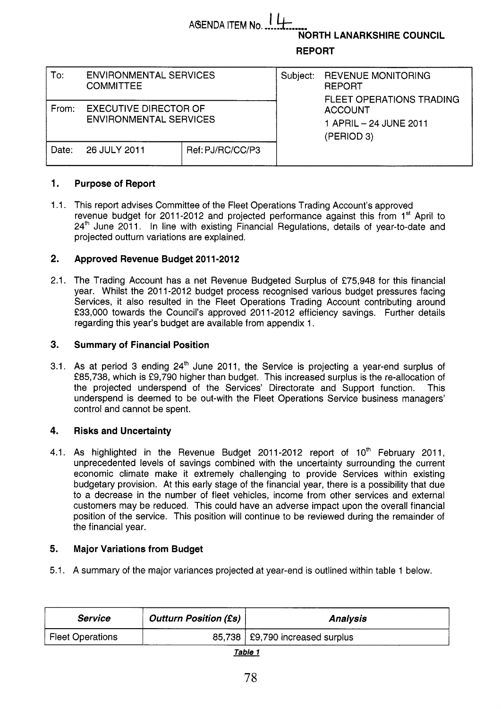|       |                                                               | AGENDA ITEM No. . | <b>NORTH LANARKSHIRE COUNCIL</b><br><b>REPORT</b> |                                                                               |  |  |
|-------|---------------------------------------------------------------|-------------------|---------------------------------------------------|-------------------------------------------------------------------------------|--|--|
| To:   | <b>ENVIRONMENTAL SERVICES</b><br><b>COMMITTEE</b>             |                   | Subject:                                          | <b>REVENUE MONITORING</b><br><b>REPORT</b><br><b>FLEET OPERATIONS TRADING</b> |  |  |
| From: | <b>EXECUTIVE DIRECTOR OF</b><br><b>ENVIRONMENTAL SERVICES</b> |                   |                                                   | <b>ACCOUNT</b><br>1 APRIL - 24 JUNE 2011<br>(PERIOD 3)                        |  |  |
| Date: | 26 JULY 2011                                                  | Ref: PJ/RC/CC/P3  |                                                   |                                                                               |  |  |

### **1. Purpose of Report**

**1.1.**  This report advises Committee of the Fleet Operations Trading Account's approved revenue budget for **2011-2012** and projected performance against this from **1"** April to **24'h** June **2011.** In line with existing Financial Regulations, details of year-to-date and projected outturn variations are explained.

### **2. Approved Revenue Budget 2011-2012**

**2.1.**  The Trading Account has a net Revenue Budgeted Surplus of €75,948 for this financial year. Whilst the **201 1-2012** budget process recognised various budget pressures facing Services, it also resulted in the Fleet Operations Trading Account contributing around €33,000 towards the Council's approved **201 1-201 2** efficiency savings. Further details regarding this year's budget are available from appendix **1.** 

### **3. Summary of Financial Position**

3.1. As at period 3 ending 24'h June **2011,** the Service is projecting a year-end surplus of €85,738, which is €9,790 higher than budget. This increased surplus is the re-allocation of the projected underspend of the Services' Directorate and Support function. This underspend is deemed to be out-with the Fleet Operations Service business managers' control and cannot be spent.

### **4. Risks and Uncertainty**

**4.1.**  As highlighted in the Revenue Budget **2011-2012** report of **10fi** February **2011,**  unprecedented levels of savings combined with the uncertainty surrounding the current economic climate make it extremely challenging to provide Services within existing budgetary provision. At this early stage of the financial year, there is a possibility that due to a decrease in the number of fleet vehicles, income from other services and external customers may be reduced. This could have an adverse impact upon the overall financial position of the service. This position will continue to be reviewed during the remainder of the financial year.

### **5. Major Variations from Budget**

**5.1.**  A summary of the major variances projected at year-end is outlined within table **1** below.

| <b>Service</b>          | <b>Outturn Position (£s)</b> | <b>Analysis</b>                   |  |  |  |  |
|-------------------------|------------------------------|-----------------------------------|--|--|--|--|
| <b>Fleet Operations</b> |                              | 85,738   £9,790 increased surplus |  |  |  |  |

*Table 1*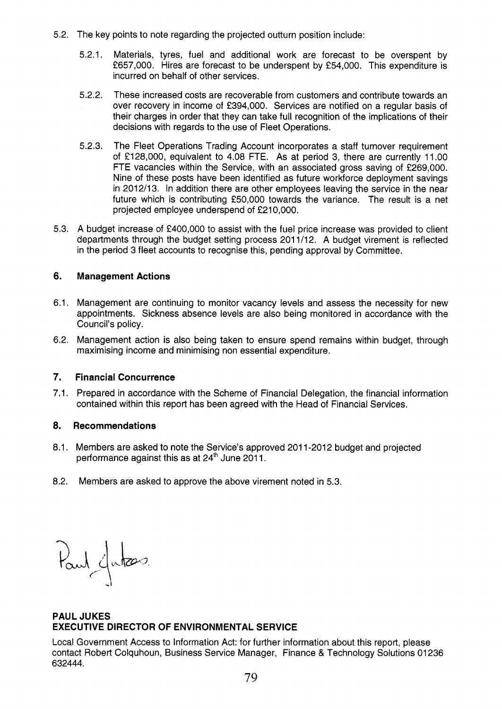- 5.2. The key points to note regarding the projected outturn position include:
	- 5.2.1. Materials, tyres, fuel and additional work are forecast to be overspent by €657,000. Hires are forecast to be underspent by €54,000. This expenditure is incurred on behalf of other services.
	- 5.2.2. These increased costs are recoverable from customers and contribute towards an over recovery in income of €394,000. Services are notified on a regular basis of their charges in order that they can take full recognition of the implications of their decisions with regards to the use of Fleet Operations.
	- The Fleet Operations Trading Account incorporates a staff turnover requirement of €128,000, equivalent to 4.08 FTE. As at period 3, there are currently 11 .OO FTE vacancies within the Service, with an associated gross saving of €269,000. Nine of these posts have been identified as future workforce deployment savings in 2012/13. In addition there are other employees leaving the service in the near future which is contributing €50,000 towards the variance. The result is a net projected employee underspend of £210,000. 5.2.3.
- 5.3. A budget increase of €400,000 to assist with the fuel price increase was provided to client departments through the budget setting process 201 1/12. A budget virement is reflected in the period 3 fleet accounts to recognise this, pending approval by Committee.

# **6. Management Actions**

- 6.1. Management are continuing to monitor vacancy levels and assess the necessity for new appointments. Sickness absence levels are also being monitored in accordance with the Council's policy.
- 6.2. Management action is also being taken to ensure spend remains within budget, through maximising income and minimising non essential expenditure.

# **7. Financial Concurrence**

7.1. Prepared in accordance with the Scheme of Financial Delegation, the financial information contained within this report has been agreed with the Head of Financial Services.

# **8. Recommendations**

- 8.1. Members are asked to note the Service's approved 2011-2012 budget and projected performance against this as at  $24<sup>th</sup>$  June  $2011$ .
- 8.2. Members are asked to approve the above virement noted in 5.3.

Paul Jutes

# **PAUL JUKES EXECUTIVE DIRECTOR OF ENVIRONMENTAL SERVICE**

Local Government Access to Information Act: for further information about this report, please contact Robert Colquhoun, Business Service Manager, Finance & Technology Solutions 01 236 632444.